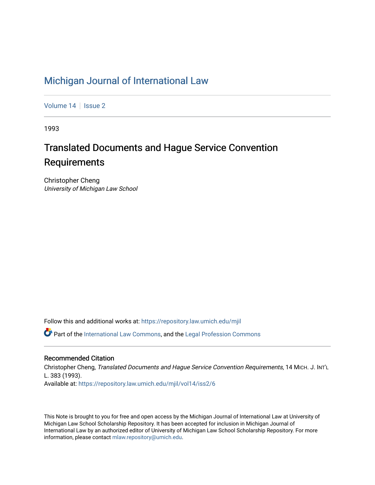# [Michigan Journal of International Law](https://repository.law.umich.edu/mjil)

[Volume 14](https://repository.law.umich.edu/mjil/vol14) | [Issue 2](https://repository.law.umich.edu/mjil/vol14/iss2)

1993

# Translated Documents and Hague Service Convention **Requirements**

Christopher Cheng University of Michigan Law School

Follow this and additional works at: [https://repository.law.umich.edu/mjil](https://repository.law.umich.edu/mjil?utm_source=repository.law.umich.edu%2Fmjil%2Fvol14%2Fiss2%2F6&utm_medium=PDF&utm_campaign=PDFCoverPages) 

Part of the [International Law Commons,](http://network.bepress.com/hgg/discipline/609?utm_source=repository.law.umich.edu%2Fmjil%2Fvol14%2Fiss2%2F6&utm_medium=PDF&utm_campaign=PDFCoverPages) and the [Legal Profession Commons](http://network.bepress.com/hgg/discipline/1075?utm_source=repository.law.umich.edu%2Fmjil%2Fvol14%2Fiss2%2F6&utm_medium=PDF&utm_campaign=PDFCoverPages) 

## Recommended Citation

Christopher Cheng, Translated Documents and Hague Service Convention Requirements, 14 MICH. J. INT'L L. 383 (1993). Available at: [https://repository.law.umich.edu/mjil/vol14/iss2/6](https://repository.law.umich.edu/mjil/vol14/iss2/6?utm_source=repository.law.umich.edu%2Fmjil%2Fvol14%2Fiss2%2F6&utm_medium=PDF&utm_campaign=PDFCoverPages) 

This Note is brought to you for free and open access by the Michigan Journal of International Law at University of Michigan Law School Scholarship Repository. It has been accepted for inclusion in Michigan Journal of International Law by an authorized editor of University of Michigan Law School Scholarship Repository. For more information, please contact [mlaw.repository@umich.edu](mailto:mlaw.repository@umich.edu).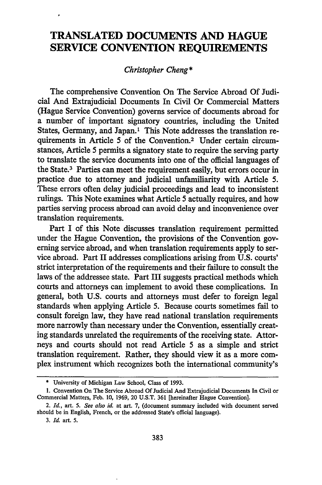## **TRANSLATED DOCUMENTS AND HAGUE SERVICE CONVENTION REQUIREMENTS**

## *Christopher Cheng\**

The comprehensive Convention On The Service Abroad Of Judicial And Extrajudicial Documents In Civil Or Commercial Matters (Hague Service Convention) governs service of documents abroad for a number of important signatory countries, including the United States, Germany, and Japan.<sup>1</sup> This Note addresses the translation requirements in Article 5 of the Convention.2 Under certain circumstances, Article 5 permits a signatory state to require the serving party to translate the service documents into one of the official languages of the State.3 Parties can meet the requirement easily, but errors occur in practice due to attorney and judicial unfamiliarity with Article 5. These errors often delay judicial proceedings and lead to inconsistent rulings. This Note examines what Article 5 actually requires, and how parties serving process abroad can avoid delay and inconvenience over translation requirements.

Part I of this Note discusses translation requirement permitted under the Hague Convention, the provisions of the Convention governing service abroad, and when translation requirements apply to service abroad. Part II addresses complications arising from U.S. courts' strict interpretation of the requirements and their failure to consult the laws of the addressee state. Part III suggests practical methods which courts and attorneys can implement to avoid these complications. In general, both U.S. courts and attorneys must defer to foreign legal standards when applying Article 5. Because courts sometimes fail to consult foreign law, they have read national translation requirements more narrowly than necessary under the Convention, essentially creating standards unrelated the requirements of the receiving state. Attorneys and courts should not read Article 5 as a simple and strict translation requirement. Rather, they should view it as a more complex instrument which recognizes both the international community's

**<sup>\*</sup>** University of Michigan Law School, Class of **1993.**

<sup>1.</sup> Convention On The Service Abroad Of Judicial And Extrajudicial Documents In Civil or Commercial Matters, Feb. 10, 1969, 20 U.S.T. 361 [hereinafter Hague Convention].

<sup>2.</sup> *Id.,* art. *5. See also id.* at art. 7, (document summary included with document served should be in English, French, or the addressed State's official language).

**<sup>3.</sup>** *Id.* art. *5.*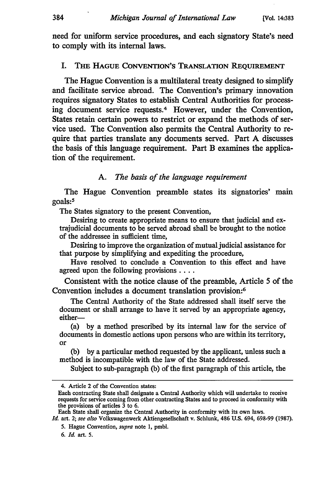need for uniform service procedures, and each signatory State's need to comply with its internal laws.

#### I. THE HAGUE **CONVENTION'S** TRANSLATION REQUIREMENT

The Hague Convention is a multilateral treaty designed to simplify and facilitate service abroad. The Convention's primary innovation requires signatory States to establish Central Authorities for processing document service requests.<sup>4</sup> However, under the Convention, States retain certain powers to restrict or expand the methods of service used. The Convention also permits the Central Authority to require that parties translate any documents served. Part A discusses the basis of this language requirement. Part B examines the application of the requirement.

#### A. *The basis of the language requirement*

The Hague Convention preamble states its signatories' main goals:<sup>5</sup>

The States signatory to the present Convention,

Desiring to create appropriate means to ensure that judicial and extrajudicial documents to be served abroad shall be brought to the notice of the addressee in sufficient time,

Desiring to improve the organization of mutual judicial assistance for that purpose by simplifying and expediting the procedure,

Have resolved to conclude a Convention to this effect and have agreed upon the following provisions ....

Consistent with the notice clause of the preamble, Article 5 of the Convention includes a document translation provision:<sup>6</sup>

The Central Authority of the State addressed shall itself serve the document or shall arrange to have it served by an appropriate agency, either—

(a) by a method prescribed by its internal law for the service of documents in domestic actions upon persons who are within its territory, or

(b) by a particular method requested by the applicant, unless such a method is incompatible with the law of the State addressed.

Subject to sub-paragraph (b) of the first paragraph of this article, the

<sup>4.</sup> Article 2 of the Convention states:

Each contracting State shall designate a Central Authority which will undertake to receive requests for service coming from other contracting States and to proceed in conformity with the provisions of articles 3 to 6.

Each State shall organize the Central Authority in conformity with its own laws.

*Id.* art. 2; *see also* Volkswagenwerk Aktiengesellschaft v. Schlunk, 486 U.S. 694, 698-99 (1987).

<sup>5.</sup> Hague Convention, *supra* note 1, pmbl.

*<sup>6.</sup> Id.* art. *5.*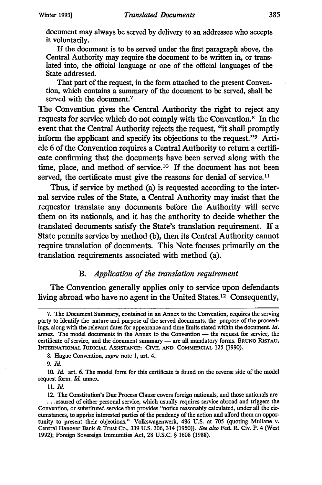document may always be served by delivery to an addressee who accepts it voluntarily.

If the document is to be served under the first paragraph above, the Central Authority may require the document to be written in, or translated into, the official language or one of the official languages of the State addressed.

That part of the request, in the form attached to the present Convention, which contains a summary of the document to be served, shall be served with the document.<sup>7</sup>

The Convention gives the Central Authority the right to reject any requests for service which do not comply with the Convention.<sup>8</sup> In the event that the Central Authority rejects the request, "it shall promptly inform the applicant and specify its objections to the request."9 Article 6 of the Convention requires a Central Authority to return a certificate confirming that the documents have been served along with the time, place, and method of service.10 If the document has not been served, the certificate must give the reasons for denial of service.<sup>11</sup>

Thus, if service by method (a) is requested according to the internal service rules of the State, a Central Authority may insist that the requestor translate any documents before the Authority will serve them on its nationals, and it has the authority to decide whether the translated documents satisfy the State's translation requirement. If a State permits service by method (b), then its Central Authority cannot require translation of documents. This Note focuses primarily on the translation requirements associated with method (a).

## *B. Application of the translation requirement*

The Convention generally applies only to service upon defendants living abroad who have no agent in the United States.<sup>12</sup> Consequently,

**8.** Hague Convention, *supra* note **1,** art. 4.

**9.** *Id.*

**10.** *Id* art. **6.** The model form for this certificate is found on the reverse side of the model request form. *Id.* annex.

**11. Id.**

**<sup>7.</sup>** The Document Summary, contained in an Annex to the Convention, requires the serving party to identify the nature and purpose of the served documents, the purpose of the proceedings, along with the relevant dates for appearance and time limits stated within the document. *Id.* annex. The model documents in the Annex to the Convention - the request for service, the certificate of service, and the document summary - are all mandatory forms. **BRUNO** RISTAU, **INTERNATIONAL JUDICIAL ASSISTANCE: CIVIL AND COMMERCIAL 125 (1990).**

<sup>12.</sup> The Constitution's Due Process Clause covers foreign nationals, and those nationals are .. assured of either personal service, which usually requires service abroad and triggers the Convention, or substituted service that provides "notice reasonably calculated, under all the circumstances, to apprise interested parties of the pendency of the action and afford them an opportunity to present their objections." Volkswagenwerk, 486 U.S. at 705 (quoting Mullane v. Central Hanover Bank & Trust Co., **339** U.S. **306,** 314 (1950)). *See also* Fed. R. Civ. P. 4 (West 1992); Foreign Sovereign Immunities Act, **28** U.S.C. § 1608 **(1988).**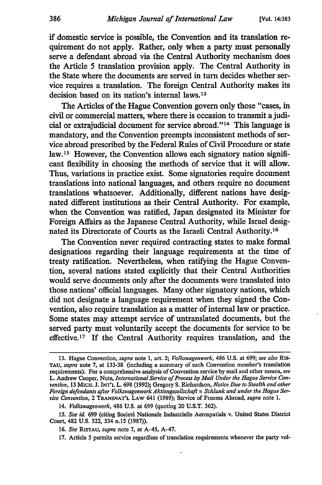if domestic service is possible, the Convention and its translation requirement do not apply. Rather, only when a party must personally serve a defendant abroad via the Central Authority mechanism does the Article 5 translation provision apply. The Central Authority in the State where the documents are served in turn decides whether service requires a translation. The foreign Central Authority makes its decision based on its nation's internal laws.<sup>13</sup>

The Articles of the Hague Convention govern only those "cases, in civil or commercial matters, where there is occasion to transmit a judicial or extrajudicial document for service abroad."<sup>14</sup> This language is mandatory, and the Convention preempts inconsistent methods of service abroad prescribed by the Federal Rules of Civil Procedure or state law.<sup>15</sup> However, the Convention allows each signatory nation significant flexibility in choosing the methods of service that it will allow. Thus, variations in practice exist. Some signatories require document translations into national languages, and others require no document translations whatsoever. Additionally, different nations have designated different institutions as their Central Authority. For example, when the Convention was ratified, Japan designated its Minister for Foreign Affairs as the Japanese Central Authority, while Israel designated its Directorate of Courts as the Israeli Central Authority.<sup>16</sup>

The Convention never required contracting states to make formal designations regarding their language requirements at the time of treaty ratification. Nevertheless, when ratifying the Hague Convention, several nations stated explicitly that their Central Authorities would serve documents only after the documents were translated into those nations' official languages. Many other signatory nations, which did not designate a language requirement when they signed the Convention, also require translation as a matter of internal law or practice. Some states may attempt service of untranslated documents, but the served party must voluntarily accept the documents for service to be effective.<sup>17</sup> If the Central Authority requires translation, and the

17. Article 5 permits service regardless of translation requirements whenever the party vol-

<sup>13.</sup> Hague Convention, *supra* note **1,** art. 2; *Volkswagenwerk,* 486 U.S. at 699; *see also* Ris-TAU, *supra* note 7, at 133-38 (including a summary of each Convention member's translation requirements). For a comprehensive analysis of Convention service by mail and other means, *see* L. Andrew Cooper, Note, *International Service of Process by Mail Under the Hague Service* Convention, 13 MICH. **J. INT'L** L. 698 (1992); Gregory S. Richardson, *Notice Due to Stealth and other* Foreign defendants after Volkswagenwerk Aktiengesellschaft *v. Schlunk* and under the Hague Service Convention, 2 TRANSNAT'L LAW 641 (1989); Service of Process Abroad, *supra* note 1.

<sup>14.</sup> Volkswagenwerk, 486 U.S. at 699 (quoting 20 U.S.T. 362).

<sup>15.</sup> See id. 699 (citing Societé Nationale Industrielle Aerospatiale v. United States District Court, 482 U.S. 522, 534 n.15 (1987)).

<sup>16.</sup> *See* RiSTAU, *supra* note 7, at A-45, A-47.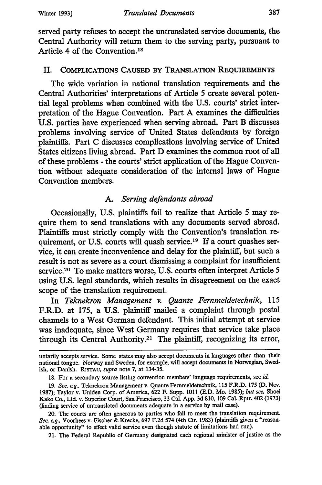served party refuses to accept the untranslated service documents, the Central Authority will return them to the serving party, pursuant to Article 4 of the Convention.18

## II. **COMPLICATIONS CAUSED BY TRANSLATION REQUIREMENTS**

The wide variation in national translation requirements and the Central Authorities' interpretations of Article **5** create several potential legal problems when combined with the **U.S.** courts' strict interpretation of the Hague Convention. Part **A** examines the difficulties **U.S.** parties have experienced when serving abroad. Part B discusses problems involving service of United States defendants **by** foreign plaintiffs. Part **C** discusses complications involving service of United States citizens living abroad. Part **D** examines the common root of all of these problems **-** the courts' strict application of the Hague Convention without adequate consideration of the internal laws of Hague Convention members.

## *A. Serving defendants abroad*

Occasionally, **U.S.** plaintiffs fail to realize that Article **5** may require them to send translations with any documents served abroad. Plaintiffs must strictly comply with the Convention's translation requirement, or **U.S.** courts will quash service. 19 If a court quashes service, it can create inconvenience and delay for the plaintiff, but such a result is not as severe as a court dismissing a complaint for insufficient service.20 To make matters worse, **U.S.** courts often interpret Article **5** using **U.S.** legal standards, which results in disagreement on the exact scope of the translation requirement.

In *Teknekron Management v. Quante Fernmeldetechnik,* **115** F.R.D. at **175,** a **U.S.** plaintiff mailed a complaint through postal channels to a West German defendant. This initial attempt at service was inadequate, since West Germany requires that service take place through its Central Authority.21 The plaintiff, recognizing its error,

**21.** The Federal Republic of Germany designated each regional minister of justice as the

untarily accepts service. Some states may also accept documents in languages other than their national tongue. Norway and Sweden, for example, will accept documents in Norwegian, Swedish, or Danish. **RiSTAU,** *supra* note **7,** at 134-35.

**<sup>18.</sup>** For a secondary source listing convention members' language requirements, see *id.*

**<sup>19.</sup>** *See, eg.,* Teknekron Management v. Quante Fermeldetechnik, **115** F.R.D. **175 (D.** Nev. **1987);** Taylor v. Uniden Corp. of America, **622** F. Supp. **1011 (E.D.** Mo. **1985);** *but see,* Shoei Kako Co., Ltd. v. Superior Court, San Francisco, **33** Cal. **App. 3d 810, 109** Cal. Rptr. 402 **(1973)** (finding service of untranslated documents adequate in a service **by** mail case).

<sup>20.</sup> The courts are often generous to parties who fail to meet the translation requirement. *See, eg.,* Voorhees v. Fischer **&** Krecke, **697 F.2d** 574 (4th Cir. **1983)** (plaintiffs given a "reasonable opportunity" to effect valid service even though statute of limitations had run).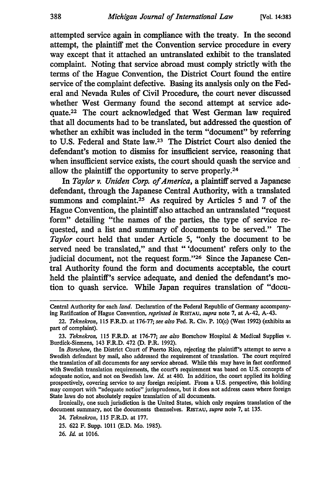attempted service again in compliance with the treaty. In the second attempt, the plaintiff met the Convention service procedure in every way except that it attached an untranslated exhibit to the translated complaint. Noting that service abroad must comply strictly with the terms of the Hague Convention, the District Court found the entire service of the complaint defective. Basing its analysis only on the Federal and Nevada Rules of Civil Procedure, the court never discussed whether West Germany found the second attempt at service adequate.22 The court acknowledged that West German law required that all documents had to be translated, but addressed the question of whether an exhibit was included in the term "document" by referring to U.S. Federal and State law.23 The District Court also denied the defendant's motion to dismiss for insufficient service, reasoning that when insufficient service exists, the court should quash the service and allow the plaintiff the opportunity to serve properly.<sup>24</sup>

In *Taylor v. Uniden Corp. of America,* a plaintiff served a Japanese defendant, through the Japanese Central Authority, with a translated summons and complaint.<sup>25</sup> As required by Articles 5 and 7 of the Hague Convention, the plaintiff also attached an untranslated "request form" detailing "the names of the parties, the type of service requested, and a list and summary of documents to be served." The *Taylor* court held that under Article 5, "only the document to be served need be translated," and that "'document' refers only to the judicial document, not the request form."<sup>26</sup> Since the Japanese Central Authority found the form and documents acceptable, the court held the plaintiff's service adequate, and denied the defendant's motion to quash service. While Japan requires translation of "docu-

23. *Teknekron,* 115 F.R.D. at 176-77; *see also* Borschow Hospital & Medical Supplies v. Burdick-Siemens, 143 F.R.D. 472 (D. P.R. 1992).

In *Borschow,* the District Court of Puerto Rico, rejecting the plaintiff's attempt to serve a Swedish defendant by mail, also addressed the requirement of translation. The court required the translation of all documents for any service abroad. While this may have in fact conformed with Swedish translation requirements, the court's requirement was based on U.S. concepts of adequate notice, and not on Swedish law. *Ida* at 480. In addition, the court applied its holding prospectively, covering service to any foreign recipient. From a U.S. perspective, this holding may comport with "adequate notice" jurisprudence, but it does not address cases where foreign State laws do not absolutely require translation of all documents.

Ironically, one such jurisdiction is the United States, which only requires translation of the document summary, not the documents themselves. **RisTAu,** *supra* note 7, at 135.

26. *Id.* at 1016.

Central Authority for each *land.* Declaration of the Federal Republic of Germany accompanying Ratification of Hague Convention, *reprinted in R1STAU, supra* note 7, at A-42, A-43.

<sup>22.</sup> *Teknekron,* 115 F.R.D. at 176-77; *see also* Fed. R. Civ. P. 10(c) (West 1992) (exhibits as part of complaint).

<sup>24.</sup> *Teknekron,* 115 F.R.D. at 177.

<sup>25. 622</sup> F. Supp. 1011 (E.D. Mo. 1985).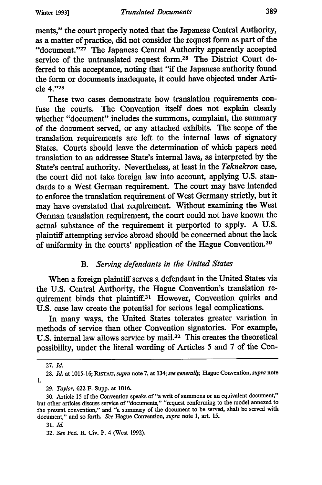ments," the court properly noted that the Japanese Central Authority, as a matter of practice, did not consider the request form as part of the "document." $27$  The Japanese Central Authority apparently accepted service of the untranslated request form.<sup>28</sup> The District Court deferred to this acceptance, noting that "if the Japanese authority found the form or documents inadequate, it could have objected under Article **4."29**

These two cases demonstrate how translation requirements confuse the courts. The Convention itself does not explain clearly whether "document" includes the summons, complaint, the summary of the document served, or any attached exhibits. The scope of the translation requirements are left to the internal laws of signatory States. Courts should leave the determination of which papers need translation to an addressee State's internal laws, as interpreted by the State's central authority. Nevertheless, at least in the *Teknekron case,* the court did not take foreign law into account, applying U.S. standards to a West German requirement. The court may have intended to enforce the translation requirement of West Germany strictly, but it may have overstated that requirement. Without examining the West German translation requirement, the court could not have known the actual substance of the requirement it purported to apply. A U.S. plaintiff attempting service abroad should be concerned about the lack of uniformity in the courts' application of the Hague Convention.<sup>30</sup>

## *B. Serving defendants in the United States*

When a foreign plaintiff serves a defendant in the United States via the U.S. Central Authority, the Hague Convention's translation requirement binds that plaintiff.<sup>31</sup> However, Convention quirks and U.S. case law create the potential for serious legal complications.

In many ways, the United States tolerates greater variation in methods of service than other Convention signatories. For example, U.S. internal law allows service by mail. 32 This creates the theoretical possibility, under the literal wording of Articles 5 and 7 of the Con-

<sup>27.</sup> *Id.*

<sup>28.</sup> **Id** at 10 15-16; **RiSTAu,** *supra* note 7, at 134; *see generally,* Hague Convention, *supra* note 1.

<sup>29.</sup> *Taylor,* 622 F. Supp. at 1016.

<sup>30.</sup> Article 15 of the Convention speaks of "a writ of summons or an equivalent document," but other articles discuss service of "documents," "request conforming to the model annexed to the present convention," and "a summary of the document to be served, shall be served with document," and so forth. *See* Hague Convention, *supra* note 1, art. 15.

<sup>31.</sup> *Id*

<sup>32.</sup> *See* Fed. R. Civ. P. 4 (West 1992).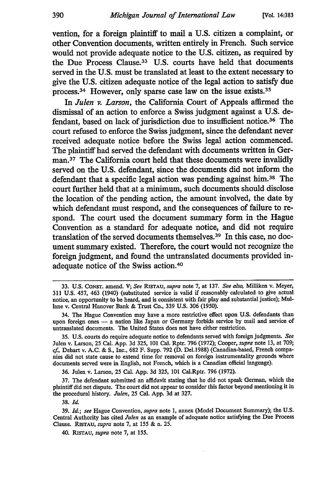vention, for a foreign plaintiff to mail a **U.S.** citizen a complaint, or other Convention documents, written entirely in French. Such service would not provide adequate notice to the **U.S.** citizen, as required **by** the Due Process Clause. <sup>33</sup>**U.S.** courts have held that documents served in the **U.S.** must be translated at least to the extent necessary to give the **U.S.** citizen adequate notice of the legal action to satisfy due process. 34 However, only sparse case law on the issue exists.<sup>35</sup>

In *Julen v. Larson,* the California Court of Appeals affirmed the dismissal of an action to enforce a Swiss judgment against a **U.S.** defendant, based on lack of jurisdiction due to insufficient notice.<sup>36</sup> The court refused to enforce the Swiss judgment, since the defendant never received adequate notice before the Swiss legal action commenced. The plaintiff had served the defendant with documents written in German.37 The California court held that these documents were invalidly served on the **U.S.** defendant, since the documents did not inform the defendant that a specific legal action was pending against him.38 The court further held that at a minimum, such documents should disclose the location of the pending action, the amount involved, the date **by** which defendant must respond, and the consequences of failure to respond. The court used the document summary form in the **Hague** Convention as a standard for adequate notice, and did not require translation of the served documents themselves. 39 In this case, no document summary existed. Therefore, the court would not recognize the foreign judgment, and found the untranslated documents provided inadequate notice of the Swiss action. 4°

**36.** Julen v. Larson, **25** Cal. **App. 3d 325, 101** Cal.Rptr. **796 (1972).**

**37.** The defendant submitted an affidavit stating that he did not speak German, which the plaintiff did not dispute. The court did not appear to consider this factor beyond mentioning it in the procedural history. *Julen,* **25** Cal. **App. 3d** at **327.**

**38.** *Id.*

40. **RiSTAU,** *supra* note **7,** at **155.**

**<sup>33.</sup> U.S.** CoNsT. amend. V; *See* **RiSTAU,** *supra* note **7,** at **137.** *See also,* Milliken v. Meyer, **311 U.S.** 457, 463 (1940) (substituted service is valid if reasonably calculated to give actual notice, an opportunity to be heard, and is consistent with fair play and substantial justice); Mullane v. Central Hanover Bank **&** Trust Co., **339 U.S. 306 (1950).**

<sup>34.</sup> The Hague Convention may have a more restrictive effect upon **U.S.** defendants than upon foreign ones **-** a nation like Japan or Germany forbids service **by** mail and service of untranslated documents. The United States does not have either restriction.

**<sup>35.</sup> U.S.** courts do require adequate notice to defendants served with foreign judgments. *See* Julen v. Larson, **25** Cal. **App. 3d 325, 101** Cal. Rptr. **796 (1972);** Cooper, *supra* note **13,** at **709;** *cf,* Dehart v. **A.C. & S.,** Inc., **682** F. Supp. **792 (D.** Del.1988) (Canadian-based, French companies did not state cause to extend time for removal on foreign instrumentality grounds where documents served were in English, not French, which is a Canadian official language).

**<sup>39.</sup>** *Id.; see* Hague Convention, *supra* note **1,** annex (Model Document Summary); the **U.S.** Central Authority has cited *Julen* as an example of adequate notice satisfying the Due Process Clause. **RISTAU,** *supra* note **7,** at **155 &** n. **25.**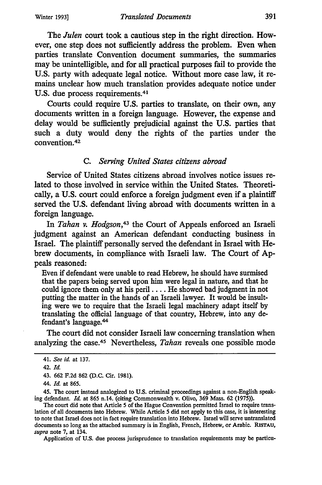The *Julen* court took a cautious step in the right direction. However, one step does not sufficiently address the problem. Even when parties translate Convention document summaries, the summaries may be unintelligible, and for all practical purposes fail to provide the U.S. party with adequate legal notice. Without more case law, it remains unclear how much translation provides adequate notice under U.S. due process requirements. <sup>41</sup>

Courts could require U.S. parties to translate, on their own, any documents written in a foreign language. However, the expense and delay would be sufficiently prejudicial against the U.S. parties that such a duty would deny the rights of the parties under the convention. <sup>42</sup>

#### *C. Serving United States citizens abroad*

Service of United States citizens abroad involves notice issues related to those involved in service within the United States. Theoretically, a U.S. court could enforce a foreign judgment even if a plaintiff served the U.S. defendant living abroad with documents written in a foreign language.

In *Tahan v. Hodgson,43* the Court of Appeals enforced an Israeli judgment against an American defendant conducting business in Israel. The plaintiff personally served the defendant in Israel with Hebrew documents, in compliance with Israeli law. The Court of **Ap**peals reasoned:

Even if defendant were unable to read Hebrew, he should have surmised that the papers being served upon him were legal in nature, and that he could ignore them only at his peril .... He showed bad judgment in not putting the matter in the hands of an Israeli lawyer. It would be insulting were we to require that the Israeli legal machinery adapt itself by translating the official language of that country, Hebrew, into any defendant's language. <sup>44</sup>

The court did not consider Israeli law concerning translation when analyzing the case.45 Nevertheless, *Tahan* reveals one possible mode

45. The court instead analogized to U.S. criminal proceedings against a non-English speaking defendant. *Id* at 865 n.14. (citing Commonwealth v. Olivo, 369 Mass. 62 (1975)).

The court did note that Article 5 of the Hague Convention permitted Israel to require translation of all documents into Hebrew. While Article 5 did not apply to this case, it is interesting to note that Israel does not in fact require translation into Hebrew. Israel will serve untranslated documents so long as the attached summary is in English, French, Hebrew, or Arabic. **RiSTAU,** *supra* note 7, at 134.

Application of **U.S.** due process jurisprudence to translation requirements may be particu-

<sup>41.</sup> *See id.* at 137.

<sup>42.</sup> *Id.*

<sup>43. 662</sup> F.2d 862 (D.C. Cir. 1981).

<sup>44.</sup> *Id.* at 865.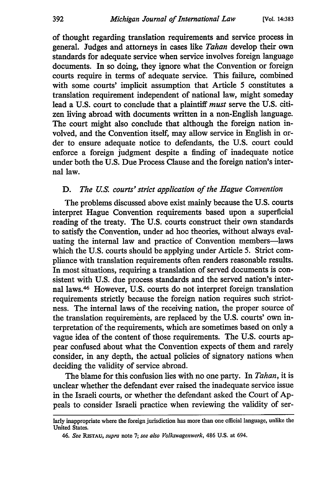of thought regarding translation requirements and service process in general. Judges and attorneys in cases like *Tahan* develop their own standards for adequate service when service involves foreign language documents. In so doing, they ignore what the Convention or foreign courts require in terms of adequate service. This failure, combined with some courts' implicit assumption that Article 5 constitutes a translation requirement independent of national law, might someday lead a U.S. court to conclude that a plaintiff *must* serve the U.S. citizen living abroad with documents written in a non-English language. The court might also conclude that although the foreign nation involved, and the Convention itself, may allow service in English in order to ensure adequate notice to defendants, the U.S. court could enforce a foreign judgment despite a finding of inadequate notice under both the U.S. Due Process Clause and the foreign nation's internal law.

## *D. The U.S. courts' strict application of the Hague Convention*

The problems discussed above exist mainly because the U.S. courts interpret Hague Convention requirements based upon a superficial reading of the treaty. The U.S. courts construct their own standards to satisfy the Convention, under ad hoc theories, without always evaluating the internal law and practice of Convention members-laws which the U.S. courts should be applying under Article 5. Strict compliance with translation requirements often renders reasonable results. In most situations, requiring a translation of served documents is consistent with U.S. due process standards and the served nation's internal laws.46 However, U.S. courts do not interpret foreign translation requirements strictly because the foreign nation requires such strictness. The internal laws of the receiving nation, the proper source of the translation requirements, are replaced by the U.S. courts' own interpretation of the requirements, which are sometimes based on only a vague idea of the content of those requirements. The U.S. courts appear confused about what the Convention expects of them and rarely consider, in any depth, the actual policies of signatory nations when deciding the validity of service abroad.

The blame for this confusion lies with no one party. In *Tahan,* it is unclear whether the defendant ever raised the inadequate service issue in the Israeli courts, or whether the defendant asked the Court of Appeals to consider Israeli practice when reviewing the validity of ser-

larly inappropriate where the foreign jurisdiction has more than one official language, unlike the United States.

*<sup>46.</sup> See RiSTAU, supra* note 7; *see also Volkswagenwerk,* 486 U.S. at 694.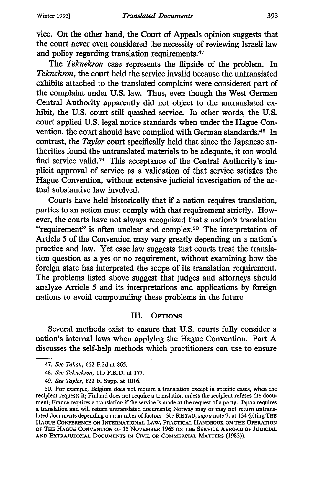vice. On the other hand, the Court of Appeals opinion suggests that the court never even considered the necessity of reviewing Israeli law and policy regarding translation requirements.47

*The Teknekron* case represents the flipside of the problem. In *Teknekron,* the court held the service invalid because the untranslated exhibits attached to the translated complaint were considered part of the complaint under U.S. law. Thus, even though the West German Central Authority apparently did not object to the untranslated exhibit, the U.S. court still quashed service. In other words, the U.S. court applied U.S. legal notice standards when under the Hague Convention, the court should have complied with German standards.48 In contrast, the *Taylor* court specifically held that since the Japanese authorities found the untranslated materials to be adequate, it too would find service valid.49 This acceptance of the Central Authority's implicit approval of service as a validation of that service satisfies the Hague Convention, without extensive judicial investigation of the actual substantive law involved.

Courts have held historically that if a nation requires translation, parties to an action must comply with that requirement strictly. However, the courts have not always recognized that a nation's translation "requirement" is often unclear and complex.<sup>50</sup> The interpretation of Article 5 of the Convention may vary greatly depending on a nation's practice and law. Yet case law suggests that courts treat the translation question as a yes or no requirement, without examining how the foreign state has interpreted the scope of its translation requirement. The problems listed above suggest that judges and attorneys should analyze Article 5 and its interpretations and applications by foreign nations to avoid compounding these problems in the future.

## III. OPTIONS

Several methods exist to ensure that U.S. courts fully consider a nation's internal laws when applying the Hague Convention. Part A discusses the self-help methods which practitioners can use to ensure

<sup>47.</sup> *See Tahan,* 662 F.2d at 865.

<sup>48.</sup> *See Teknekron,* 115 F.R.D. at 177.

<sup>49.</sup> *See Taylor,* 622 F. Supp. at 1016.

<sup>50.</sup> For example, Belgium does not require a translation except in specific cases, when the recipient requests it; Finland does not require a translation unless the recipient refuses the document; France requires a translation if the service is made at the request of a party. Japan requires a translation and will return untranslated documents; Norway may or may not return untranslated documents depending on a number of factors. *See* **RiSTAU,** *supra* note 7, at 134 (citing THE **HAGUE CONFERENCE ON INTERNATIONAL LAW, PRACTICAL HANDBOOK ON THE OPERATION OF THE HAGUE CONVENTION OF 15 NOVEMBER 1965 ON THE SERVICE ABROAD OF JUDICIAL AND EXTRAJUDICIAL DOCUMENTS IN CIVIL OR COMMERCIAL MATrERS (1983)).**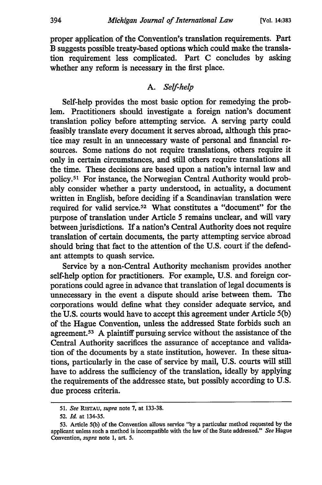proper application of the Convention's translation requirements. Part B suggests possible treaty-based options which could make the translation requirement less complicated. Part **C** concludes **by** asking whether any reform is necessary in the first place.

## *A. Self-help*

Self-help provides the most basic option for remedying the problem. Practitioners should investigate a foreign nation's document translation policy before attempting service. A serving party could feasibly translate every document it serves abroad, although this practice may result in an unnecessary waste of personal and financial resources. Some nations do not require translations, others require it only in certain circumstances, and still others require translations all the time. These decisions are based upon a nation's internal law and policy.<sup>51</sup> For instance, the Norwegian Central Authority would probably consider whether a party understood, in actuality, a document written in English, before deciding if a Scandinavian translation were required for valid service.52 What constitutes a "document" for the purpose of translation under Article 5 remains unclear, and will vary between jurisdictions. If a nation's Central Authority does not require translation of certain documents, the party attempting service abroad should bring that fact to the attention of the U.S. court if the defendant attempts to quash service.

Service by a non-Central Authority mechanism provides another self-help option for practitioners. For example, U.S. and foreign corporations could agree in advance that translation of legal documents is unnecessary in the event a dispute should arise between them. The corporations would define what they consider adequate service, and the U.S. courts would have to accept this agreement under Article 5(b) of the Hague Convention, unless the addressed State forbids such an agreement.<sup>53</sup> A plaintiff pursuing service without the assistance of the Central Authority sacrifices the assurance of acceptance and validation of the documents by a state institution, however. In these situations, particularly in the case of service by mail, U.S. courts will still have to address the sufficiency of the translation, ideally by applying the requirements of the addressee state, but possibly according to U.S. due process criteria.

**<sup>51.</sup>** *See* **RISTAU,** *supra* note **7,** at **133-38.**

<sup>52.</sup> *Id.* at 134-35.

<sup>53.</sup> Article 5(b) of the Convention allows service "by a particular method requested by the applicant unless such a method is incompatible with the law of the State addressed." *See* Hague Convention, *supra* note 1, art. 5.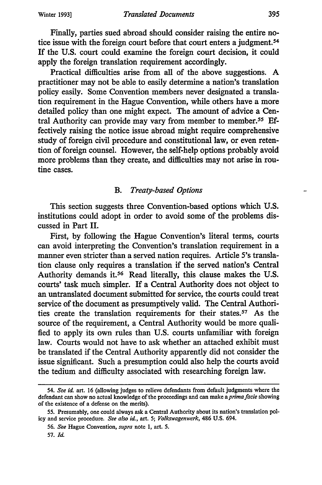Finally, parties sued abroad should consider raising the entire notice issue with the foreign court before that court enters a judgment.<sup>54</sup> If the U.S. court could examine the foreign court decision, it could apply the foreign translation requirement accordingly.

Practical difficulties arise from all of the above suggestions. A practitioner may not be able to easily determine a nation's translation policy easily. Some Convention members never designated a translation requirement in the Hague Convention, while others have a more detailed policy than one might expect. The amount of advice a Central Authority can provide may vary from member to member.<sup>55</sup> Effectively raising the notice issue abroad might require comprehensive study of foreign civil procedure and constitutional law, or even retention of foreign counsel. However, the self-help options probably avoid more problems than they create, and difficulties may not arise in routine cases.

## *B. Treaty-based Options*

This section suggests three Convention-based options which U.S. institutions could adopt in order to avoid some of the problems discussed in Part II.

First, by following the Hague Convention's literal terms, courts can avoid interpreting the Convention's translation requirement in a manner even stricter than a served nation requires. Article *5's* translation clause only requires a translation if the served nation's Central Authority demands it.56 Read literally, this clause makes the U.S. courts' task much simpler. If a Central Authority does not object to an untranslated document submitted for service, the courts could treat service of the document as presumptively valid. The Central Authorities create the translation requirements for their states.<sup>57</sup> As the source of the requirement, a Central Authority would be more qualified to apply its own rules than U.S. courts unfamiliar with foreign law. Courts would not have to ask whether an attached exhibit must be translated if the Central Authority apparently did not consider the issue significant. Such a presumption could also help the courts avoid the tedium and difficulty associated with researching foreign law.

<sup>54.</sup> *See id.* art. 16 (allowing judges to relieve defendants from default judgments where the defendant can show no actual knowledge of the proceedings and can make *aprimafacie* showing of the existence of a defense on the merits).

<sup>55.</sup> Presumably, one could always ask a Central Authority about its nation's translation policy and service procedure. *See also id.,* art. 5; *Volkswagenwerk,* 486 U.S. 694.

*<sup>56.</sup> See* Hague Convention, *supra* note 1, art. 5.

<sup>57.</sup> *Id.*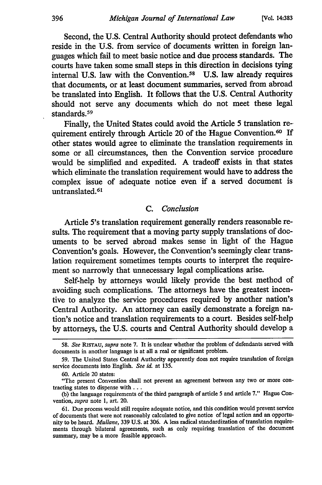Second, the **U.S.** Central Authority should protect defendants who reside in the U.S. from service of documents written in foreign languages which fail to meet basic notice and due process standards. The courts have taken some small steps in this direction in decisions tying internal U.S. law with the Convention.58 U.S. law already requires that documents, or at least document summaries, served from abroad be translated into English. It follows that the U.S. Central Authority should not serve any documents which do not meet these legal standards.<sup>59</sup>

Finally, the United States could avoid the Article 5 translation requirement entirely through Article 20 of the Hague Convention.<sup>60</sup> If other states would agree to eliminate the translation requirements in some or all circumstances, then the Convention service procedure would be simplified and expedited. A tradeoff exists in that states which eliminate the translation requirement would have to address the complex issue of adequate notice even if a served document is untranslated.<sup>61</sup>

#### *C. Conclusion*

Article 5's translation requirement generally renders reasonable results. The requirement that a moving party supply translations of documents to be served abroad makes sense in light of the Hague Convention's goals. However, the Convention's seemingly clear translation requirement sometimes tempts courts to interpret the requirement so narrowly that unnecessary legal complications arise.

Self-help by attorneys would likely provide the best method of avoiding such complications. The attorneys have the greatest incentive to analyze the service procedures required by another nation's Central Authority. An attorney can easily demonstrate a foreign nation's notice and translation requirements to a court. Besides self-help by attorneys, the U.S. courts and Central Authority should develop a

<sup>58.</sup> *See* **RiSTAU,** *supra* note 7. It is unclear whether the problem of defendants served with documents in another language is at all a real or significant problem.

<sup>59.</sup> The United States Central Authority apparently does not require translation of foreign service documents into English. *See id.* at 135.

<sup>60.</sup> Article 20 states:

<sup>&</sup>quot;The present Convention shall not prevent an agreement between any two or more contracting states to dispense with ...

**<sup>(</sup>b)** the language requirements of the third paragraph of article 5 and article 7." Hague Convention, *supra* note 1, art. 20.

<sup>61.</sup> Due process would still require adequate notice, and this condition would prevent service of documents that were not reasonably calculated to give notice of legal action and an opportunity to be heard. *Mullane,* 339 U.S. at 306. A less radical standardization of translation requirements through bilateral agreements, such as only requiring translation of the document summary, may be a more feasible approach.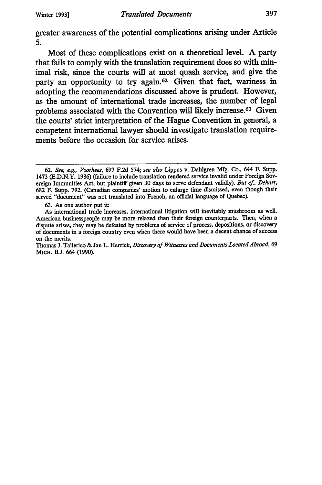greater awareness of the potential complications arising under Article *5.*

Most of these complications exist on a theoretical level. **A** party that fails to comply with the translation requirement does so with minimal risk, since the courts will at most quash service, and give the party an opportunity to try again. 62 Given that fact, wariness in adopting the recommendations discussed above is prudent. However, as the amount of international trade increases, the number of legal problems associated with the Convention will likely increase.<sup>63</sup> Given the courts' strict interpretation of the Hague Convention in general, a competent international lawyer should investigate translation requirements before the occasion for service arises.

**<sup>62.</sup>** *See,* **eg.,** *Voorhees,* **697 F.2d** 574; *see also* Lippus v. Dahlgren **Mfg.** Co., 644 F. Supp. 1473 **(E.D.N.Y. 1986)** (failure to include translation rendered service invalid under Foreign Sovereign Immunities Act, but plaintiff given **30** days to serve defendant validly). *But cf, Dehart,* **682** F. Supp. **792.** (Canadian companies' motion to enlarge time dismissed, even though their served "document" was not translated into French, an official language of Quebec).

**<sup>63.</sup>** As one author put it:

As international trade increases, international litigation will inevitably mushroom as well. American businesspeople may be more relaxed than their foreign counterparts. Then, when a dispute arises, they may be defeated **by** problems of service of process, depositions, or discovery of documents in a foreign country even when there would have been a decent chance of success on the merits.

Thomas **J.** Tallerico **&** Jan L. Herrick, *Discovery of Witnesses and Documents Located Abroad,* **69** MICH. **B.J.** 664 **(1990).**